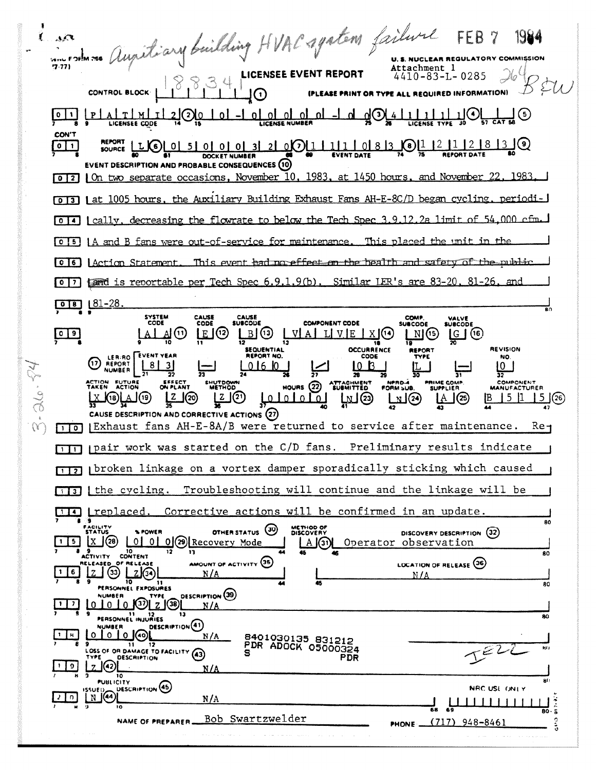in rolm no Augistiary building HVAC system failure  $\frac{1}{2}$ LICENSEE EVENT REPORT ORY COMMISSION **U.S. NUCLEAR REGUL** Attachment 1  $\mathcal{A}$  $4410 - 83 - L - 0285$ EASE PRINT OR TYPE ALL REQUIRED INFORMATION)  $\frac{1}{26}$ <u>ப@</u>  $L_0$ <u>olololol</u> 21 ? 10  $T \perp M$ ጣ(3 **LICENSEE CODE CON'T**  $12112183$ 00011111101813  $\boxed{0}$   $\boxed{1}$  $L(6)$  0 5 0 0 0 **21 DOCKET NUMBER EVENT DESCRIPTION AND PROBABLE CONSEQUENCES (10)** [0] 2] On two separate occasions, November 10, 1983, at 1450 hours, and November 22, 1983. [0] To 13 | at 1005 hours, the Auxiliary Building Exhaust Fans AH-E-8C/D began cycling, periodi [0]4] [cally, decreasing the flowrate to below the Tech Spec 3.9.12.2a limit of 54,000 cfm 0 [5] | A and B fans were out-of-service for maintenance. This placed the unit in the 0 6 | Action Statement. This event had no effect on the health and safety of the public fand is reportable per Tech Spec 6.9.1.9(b). Similar LER's are 83-20.  $\sqrt{2}$  $81 - 26$  $[018]$   $[81-28]$ . SYSTEM<br>CODE COMP.<br>SUBCODE CAUSE CAUSE<br>SUBCODE VALVE<br>SUBCODE CODE **COMPONENT CODE**  $09$  $E(12)$  $\mathbb{B}(\mathbb{G})$ |G | (16) VE  $X$   $(14)$  $N(G)$ SEQUENTIAL **OCCURRENCE REVISION REPORT** LERINO FUENT YEAR CODE NO.  $\odot$ REPORT  $\lfloor 8 \rfloor$ <u>lo b</u>  $3<sup>1</sup>$  $0160$  $\lfloor 0 \rfloor$ NPROA **PRIME COMP** COMPONENT ACTION FUTURE<br>TAKEN ACTION EFFECT<br>ON PLANT HUTDOW **ATTACHMENT**<br>SUBMITTED HOURS  $(22)$ <u>Leterate</u>  $\begin{array}{c} \boxed{N} \\ \boxed{2} \end{array}$ [z ] (2)  $151$  $\frac{2}{\pi}$ மூடு  $\mathbf{A}^{(2)}$  $15(26)$ J(20) **K**18)LA פי)|\_ CAUSE DESCRIPTION AND CORRECTIVE ACTIONS (27) (Exhaust fans AH-E-8A/B were returned to service after maintenance.  $Re<sub>1</sub>$  $\Box$  $\Box$  pair work was started on the C/D fans. Preliminary results indicate pbroken linkage on a vortex damper sporadically sticking which caused  $\sqrt{112}$ Troubleshooting will continue and the linkage will be  $\Box$  i the cycling. TIA <u>treplaced</u>. Corrective actions will be confirmed in an update. 80 METHOD OF OTHER STATUS (30) **% POWER** DISCOVERY DESCRIPTION (32) 0 0 0 0 2 Recovery Mode  $X(38)$  $\vert \cdot \vert$  5  $\vert$ Operator observation  $\Box$  (3) ACTIVITY CONTENT  $\overline{30}$ AMOUNT OF ACTIVITY (35) LOCATION OF RELEASE 36 OF RELEASE ELEASED  $Z(3)$ | 1 | 6 |  $2(3)$ N/4  $N/L$  $\overline{30}$ PERSONNEL EXPOSURES DESCRIPTION (39) **NUMBER** TYPE  $101010012001$  $\vert \cdot \vert \cdot \vert$  $N/A$ PERSONNEL INJURIES 8C DESCRIPTION<sup>(41)</sup> **VUMBER** <u>o lo lo</u> lo 8461656132 851515  $\mathbf{1}$   $\mathbf{R}$  $N/A$ PDR ADOCK 05000324  $\overline{\mathbf{1}}$ OSS OF OR DAMAGE TO FACILITY (43) DESCRIPTION PDR  $2(42)$  $\vert$  | 9  $N/A$ **PUBLICITY** DESCRIPTION (45) NRC USL ONLY  $N$   $(44)$  $20$  $N/A$ Bob Swartzwelder  $(717)$  948-8461 NAME OF PREPARER\_ PHONE -